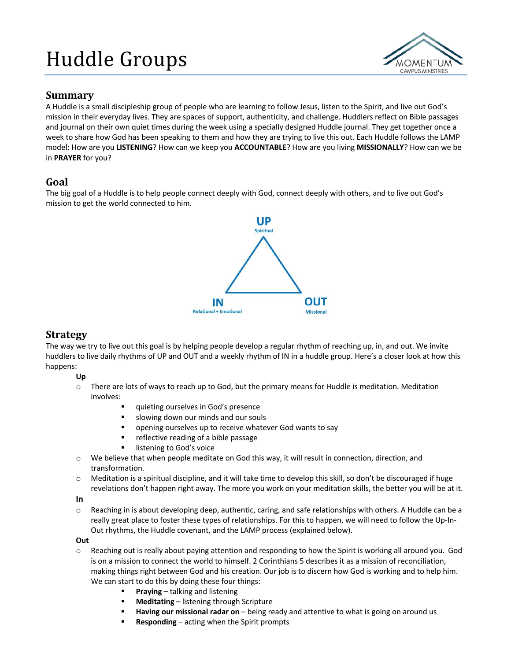# Huddle Groups



## **Summary**

A Huddle is a small discipleship group of people who are learning to follow Jesus, listen to the Spirit, and live out God's mission in their everyday lives. They are spaces of support, authenticity, and challenge. Huddlers reflect on Bible passages and journal on their own quiet times during the week using a specially designed Huddle journal. They get together once a week to share how God has been speaking to them and how they are trying to live this out. Each Huddle follows the LAMP model: How are you **LISTENING**? How can we keep you **ACCOUNTABLE**? How are you living **MISSIONALLY**? How can we be in **PRAYER** for you?

# **Goal**

The big goal of a Huddle is to help people connect deeply with God, connect deeply with others, and to live out God's mission to get the world connected to him.



# **Strategy**

The way we try to live out this goal is by helping people develop a regular rhythm of reaching up, in, and out. We invite huddlers to live daily rhythms of UP and OUT and a weekly rhythm of IN in a huddle group. Here's a closer look at how this happens:

## **Up**

- $\circ$  There are lots of ways to reach up to God, but the primary means for Huddle is meditation. Meditation involves:
	- quieting ourselves in God's presence
	- § slowing down our minds and our souls
	- opening ourselves up to receive whatever God wants to say
	- reflective reading of a bible passage
	- listening to God's voice
- o We believe that when people meditate on God this way, it will result in connection, direction, and transformation.
- $\circ$  Meditation is a spiritual discipline, and it will take time to develop this skill, so don't be discouraged if huge revelations don't happen right away. The more you work on your meditation skills, the better you will be at it.

#### **In**

o Reaching in is about developing deep, authentic, caring, and safe relationships with others. A Huddle can be a really great place to foster these types of relationships. For this to happen, we will need to follow the Up-In-Out rhythms, the Huddle covenant, and the LAMP process (explained below).

#### **Out**

- $\circ$  Reaching out is really about paying attention and responding to how the Spirit is working all around you. God is on a mission to connect the world to himself. 2 Corinthians 5 describes it as a mission of reconciliation, making things right between God and his creation. Our job is to discern how God is working and to help him. We can start to do this by doing these four things:
	- § **Praying** talking and listening
	- § **Meditating** listening through Scripture
	- § **Having our missional radar on** being ready and attentive to what is going on around us
	- § **Responding** acting when the Spirit prompts